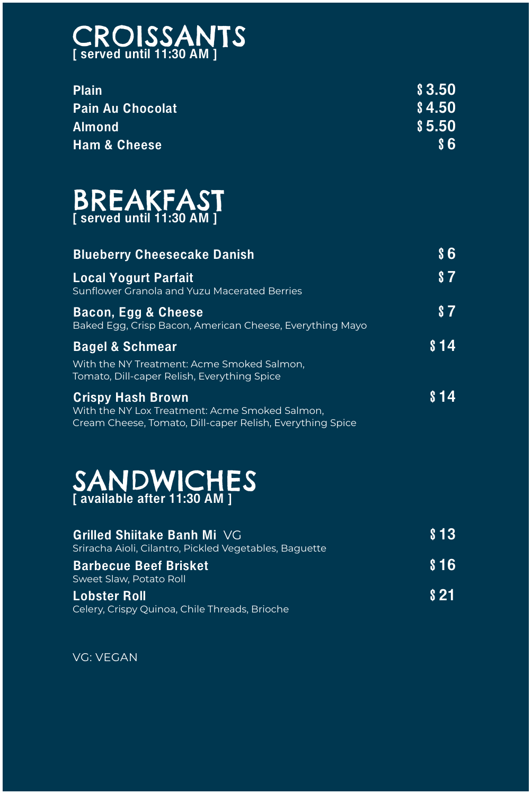CROISSANTS [ served until 11:30 AM ]

Plain \$3.50 Pain Au Chocolat \$4.50 Almond \$5.50 Ham & Cheese  $\sim$  \$6

### BREAKFAST [ served until 11:30 AM ]

Blueberry Cheesecake Danish  $\begin{array}{c} 86 \end{array}$ 

### Local Yogurt Parfait 57 Sunflower Granola and Yuzu Macerated Berries Bacon, Egg & Cheese \$7 Baked Egg, Crisp Bacon, American Cheese, Everything Mayo Bagel & Schmear \$14 With the NY Treatment: Acme Smoked Salmon, Tomato, Dill-caper Relish, Everything Spice Crispy Hash Brown \$14 With the NY Lox Treatment: Acme Smoked Salmon, Cream Cheese, Tomato, Dill-caper Relish, Everything Spice

#### Lobster Roll \$21 Celery, Crispy Quinoa, Chile Threads, Brioche

### SANDWICHES [ available after 11:30 AM ]

#### Grilled Shiitake Banh Mi VG \$13

Sriracha Aioli, Cilantro, Pickled Vegetables, Baguette



#### Barbecue Beef Brisket \$16

Sweet Slaw, Potato Roll

VG: VEGAN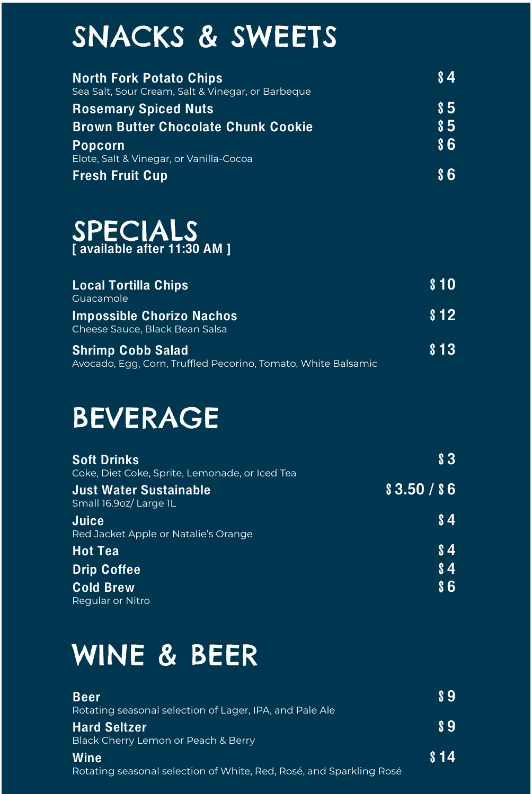## SNACKS & SWEETS

| <b>North Fork Potato Chips</b><br>Sea Salt, Sour Cream, Salt & Vinegar, or Barbeque | <b>S4</b>  |
|-------------------------------------------------------------------------------------|------------|
| <b>Rosemary Spiced Nuts</b>                                                         | <b>S5</b>  |
| <b>Brown Butter Chocolate Chunk Cookie</b>                                          | $\sqrt{5}$ |
| <b>Popcorn</b>                                                                      | 86         |
| Elote, Salt & Vinegar, or Vanilla-Cocoa                                             |            |
| <b>Fresh Fruit Cup</b>                                                              | $\bf S6$   |



 $$10$ **Local Tortilla Chips** Guacamole  $$12$ **Impossible Chorizo Nachos** Cheese Sauce, Black Bean Salsa  $$13$ Shrimp Cobb Salad Avocado, Egg, Corn, Truffled Pecorino, Tomato, White Balsamic BEVERAGE  $\boldsymbol{\mathsf{S}}$ **Soft Drinks** Coke, Diet Coke, Sprite, Lemonade, or Iced Tea  $$3.50 / $6$ **Just Water Sustainable** Small 16.9oz/Large 1L  $\sqrt{3}4$ Juice Red Jacket Apple or Natalie's Orange

**Hot Tea** Drip Coffee **Cold Brew Regular or Nitro** 

 $\sqrt{3}4$  $\sqrt{3}4$  $$6$ 

# WINE & BEER

**Beer** Rotating seasonal selection of Lager, IPA, and Pale Ale **Hard Seltzer** Black Cherry Lemon or Peach & Berry Wine Rotating seasonal selection of White, Red, Rosé, and Sparkling Rosé

 $\boldsymbol{\mathsf{S}}$ 

 $\boldsymbol{\mathsf{s}}\boldsymbol{\mathsf{s}}$ 

 $$14$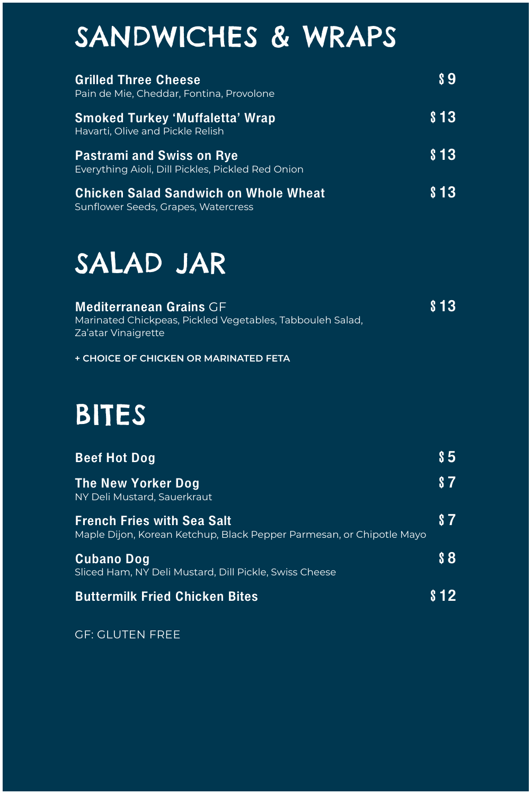## SANDWICHES & WRAPS

| <b>Grilled Three Cheese</b><br>Pain de Mie, Cheddar, Fontina, Provolone               | \$9                  |
|---------------------------------------------------------------------------------------|----------------------|
| <b>Smoked Turkey 'Muffaletta' Wrap</b><br>Havarti, Olive and Pickle Relish            | \$13                 |
| <b>Pastrami and Swiss on Rye</b><br>Everything Aioli, Dill Pickles, Pickled Red Onion | $\boldsymbol{\S}$ 13 |
| <b>Chicken Salad Sandwich on Whole Wheat</b><br>Sunflower Seeds, Grapes, Watercress   | \$13                 |

### SALAD JAR

#### **Mediterranean Grains CF**

Marinated Chickpeas, Pickled Vegetables, Tabbouleh Salad, Za'atar Vinaigrette

+ CHOICE OF CHICKEN OR MARINATED FETA

### BITES

**Beef Hot Dog** 

The New Yorker Dog NY Deli Mustard, Sauerkraut

**French Fries with Sea Salt** 

Maple Dijon, Korean Ketchup, Black Pepper Parmesan, or Chipotle Mayo

 $\sqrt{5}$  $s<sub>7</sub>$ 

 $s<sub>7</sub>$ 

 $\boldsymbol{88}$ 



**Buttermilk Fried Chicken Bites** 

 $$12$ 

#### **GF: GLUTEN FREE**